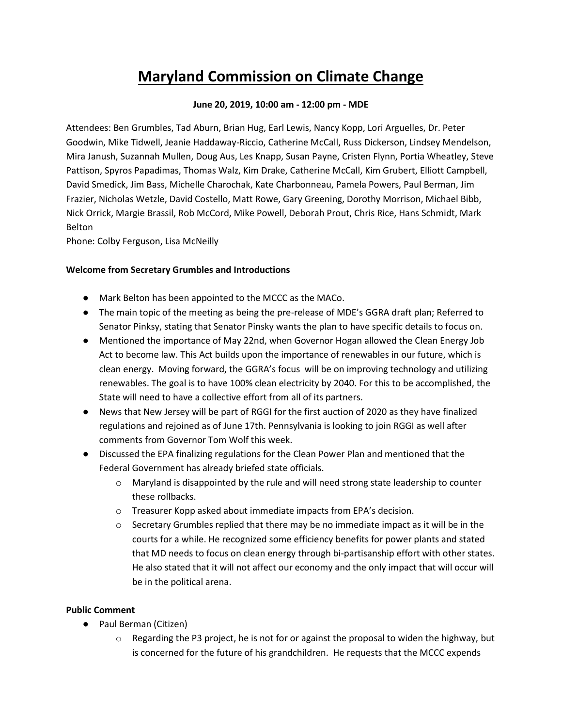# **Maryland Commission on Climate Change**

## **June 20, 2019, 10:00 am - 12:00 pm - MDE**

Attendees: Ben Grumbles, Tad Aburn, Brian Hug, Earl Lewis, Nancy Kopp, Lori Arguelles, Dr. Peter Goodwin, Mike Tidwell, Jeanie Haddaway-Riccio, Catherine McCall, Russ Dickerson, Lindsey Mendelson, Mira Janush, Suzannah Mullen, Doug Aus, Les Knapp, Susan Payne, Cristen Flynn, Portia Wheatley, Steve Pattison, Spyros Papadimas, Thomas Walz, Kim Drake, Catherine McCall, Kim Grubert, Elliott Campbell, David Smedick, Jim Bass, Michelle Charochak, Kate Charbonneau, Pamela Powers, Paul Berman, Jim Frazier, Nicholas Wetzle, David Costello, Matt Rowe, Gary Greening, Dorothy Morrison, Michael Bibb, Nick Orrick, Margie Brassil, Rob McCord, Mike Powell, Deborah Prout, Chris Rice, Hans Schmidt, Mark Belton

Phone: Colby Ferguson, Lisa McNeilly

## **Welcome from Secretary Grumbles and Introductions**

- Mark Belton has been appointed to the MCCC as the MACo.
- The main topic of the meeting as being the pre-release of MDE's GGRA draft plan; Referred to Senator Pinksy, stating that Senator Pinsky wants the plan to have specific details to focus on.
- Mentioned the importance of May 22nd, when Governor Hogan allowed the Clean Energy Job Act to become law. This Act builds upon the importance of renewables in our future, which is clean energy. Moving forward, the GGRA's focus will be on improving technology and utilizing renewables. The goal is to have 100% clean electricity by 2040. For this to be accomplished, the State will need to have a collective effort from all of its partners.
- News that New Jersey will be part of RGGI for the first auction of 2020 as they have finalized regulations and rejoined as of June 17th. Pennsylvania is looking to join RGGI as well after comments from Governor Tom Wolf this week.
- Discussed the EPA finalizing regulations for the Clean Power Plan and mentioned that the Federal Government has already briefed state officials.
	- o Maryland is disappointed by the rule and will need strong state leadership to counter these rollbacks.
	- o Treasurer Kopp asked about immediate impacts from EPA's decision.
	- $\circ$  Secretary Grumbles replied that there may be no immediate impact as it will be in the courts for a while. He recognized some efficiency benefits for power plants and stated that MD needs to focus on clean energy through bi-partisanship effort with other states. He also stated that it will not affect our economy and the only impact that will occur will be in the political arena.

#### **Public Comment**

- Paul Berman (Citizen)
	- $\circ$  Regarding the P3 project, he is not for or against the proposal to widen the highway, but is concerned for the future of his grandchildren. He requests that the MCCC expends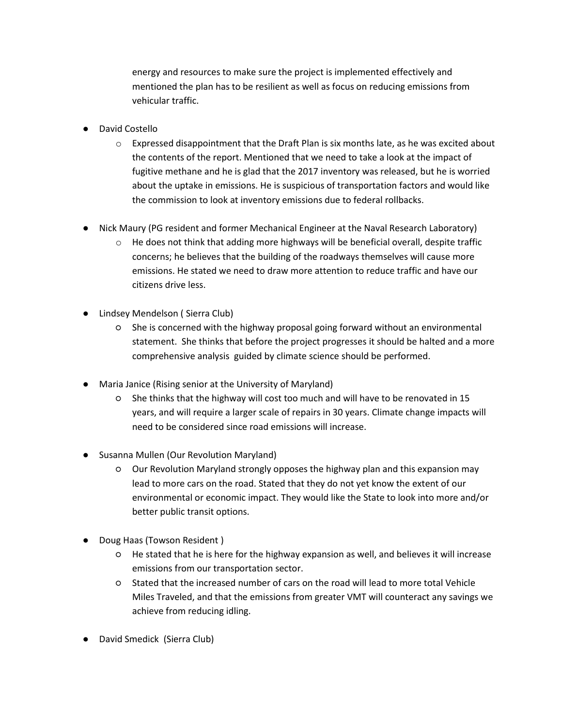energy and resources to make sure the project is implemented effectively and mentioned the plan has to be resilient as well as focus on reducing emissions from vehicular traffic.

- David Costello
	- $\circ$  Expressed disappointment that the Draft Plan is six months late, as he was excited about the contents of the report. Mentioned that we need to take a look at the impact of fugitive methane and he is glad that the 2017 inventory was released, but he is worried about the uptake in emissions. He is suspicious of transportation factors and would like the commission to look at inventory emissions due to federal rollbacks.
- Nick Maury (PG resident and former Mechanical Engineer at the Naval Research Laboratory)
	- $\circ$  He does not think that adding more highways will be beneficial overall, despite traffic concerns; he believes that the building of the roadways themselves will cause more emissions. He stated we need to draw more attention to reduce traffic and have our citizens drive less.
- Lindsey Mendelson ( Sierra Club)
	- She is concerned with the highway proposal going forward without an environmental statement. She thinks that before the project progresses it should be halted and a more comprehensive analysis guided by climate science should be performed.
- Maria Janice (Rising senior at the University of Maryland)
	- She thinks that the highway will cost too much and will have to be renovated in 15 years, and will require a larger scale of repairs in 30 years. Climate change impacts will need to be considered since road emissions will increase.
- Susanna Mullen (Our Revolution Maryland)
	- Our Revolution Maryland strongly opposes the highway plan and this expansion may lead to more cars on the road. Stated that they do not yet know the extent of our environmental or economic impact. They would like the State to look into more and/or better public transit options.
- Doug Haas (Towson Resident)
	- He stated that he is here for the highway expansion as well, and believes it will increase emissions from our transportation sector.
	- Stated that the increased number of cars on the road will lead to more total Vehicle Miles Traveled, and that the emissions from greater VMT will counteract any savings we achieve from reducing idling.
- David Smedick (Sierra Club)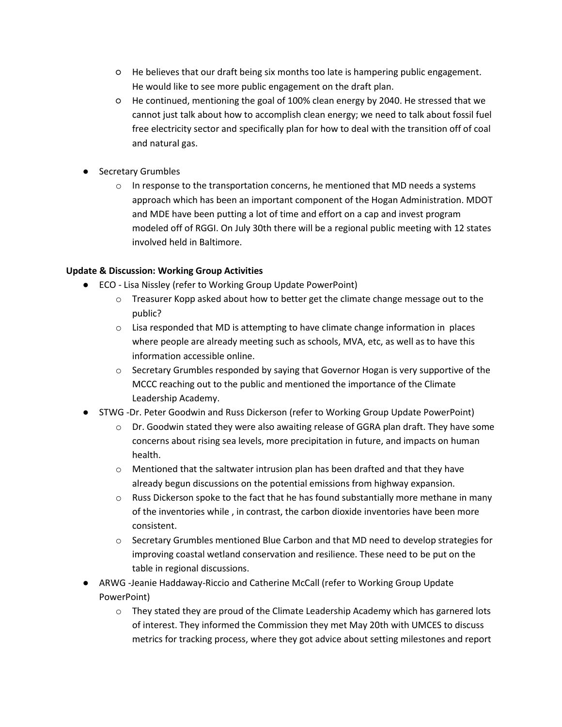- He believes that our draft being six months too late is hampering public engagement. He would like to see more public engagement on the draft plan.
- He continued, mentioning the goal of 100% clean energy by 2040. He stressed that we cannot just talk about how to accomplish clean energy; we need to talk about fossil fuel free electricity sector and specifically plan for how to deal with the transition off of coal and natural gas.
- Secretary Grumbles
	- $\circ$  In response to the transportation concerns, he mentioned that MD needs a systems approach which has been an important component of the Hogan Administration. MDOT and MDE have been putting a lot of time and effort on a cap and invest program modeled off of RGGI. On July 30th there will be a regional public meeting with 12 states involved held in Baltimore.

## **Update & Discussion: Working Group Activities**

- ECO Lisa Nissley (refer to Working Group Update PowerPoint)
	- $\circ$  Treasurer Kopp asked about how to better get the climate change message out to the public?
	- $\circ$  Lisa responded that MD is attempting to have climate change information in places where people are already meeting such as schools, MVA, etc, as well as to have this information accessible online.
	- $\circ$  Secretary Grumbles responded by saying that Governor Hogan is very supportive of the MCCC reaching out to the public and mentioned the importance of the Climate Leadership Academy.
- STWG -Dr. Peter Goodwin and Russ Dickerson (refer to Working Group Update PowerPoint)
	- $\circ$  Dr. Goodwin stated they were also awaiting release of GGRA plan draft. They have some concerns about rising sea levels, more precipitation in future, and impacts on human health.
	- $\circ$  Mentioned that the saltwater intrusion plan has been drafted and that they have already begun discussions on the potential emissions from highway expansion.
	- $\circ$  Russ Dickerson spoke to the fact that he has found substantially more methane in many of the inventories while , in contrast, the carbon dioxide inventories have been more consistent.
	- $\circ$  Secretary Grumbles mentioned Blue Carbon and that MD need to develop strategies for improving coastal wetland conservation and resilience. These need to be put on the table in regional discussions.
- ARWG -Jeanie Haddaway-Riccio and Catherine McCall (refer to Working Group Update PowerPoint)
	- $\circ$  They stated they are proud of the Climate Leadership Academy which has garnered lots of interest. They informed the Commission they met May 20th with UMCES to discuss metrics for tracking process, where they got advice about setting milestones and report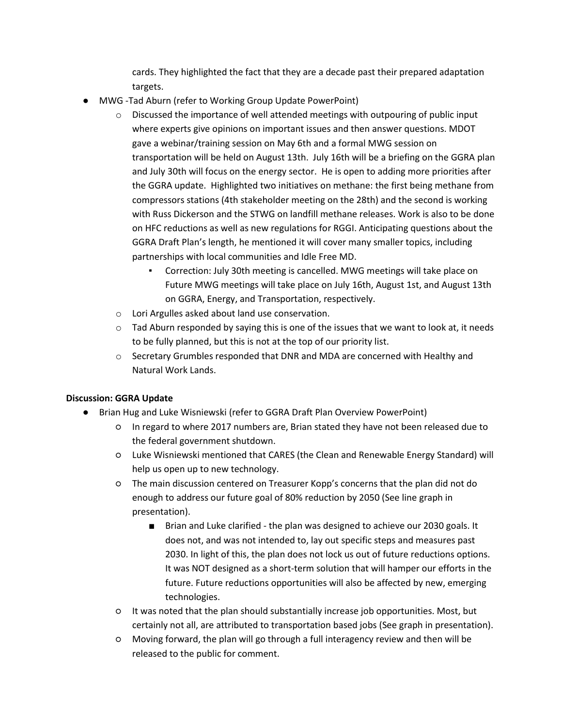cards. They highlighted the fact that they are a decade past their prepared adaptation targets.

- MWG -Tad Aburn (refer to Working Group Update PowerPoint)
	- o Discussed the importance of well attended meetings with outpouring of public input where experts give opinions on important issues and then answer questions. MDOT gave a webinar/training session on May 6th and a formal MWG session on transportation will be held on August 13th. July 16th will be a briefing on the GGRA plan and July 30th will focus on the energy sector. He is open to adding more priorities after the GGRA update. Highlighted two initiatives on methane: the first being methane from compressors stations (4th stakeholder meeting on the 28th) and the second is working with Russ Dickerson and the STWG on landfill methane releases. Work is also to be done on HFC reductions as well as new regulations for RGGI. Anticipating questions about the GGRA Draft Plan's length, he mentioned it will cover many smaller topics, including partnerships with local communities and Idle Free MD.
		- Correction: July 30th meeting is cancelled. MWG meetings will take place on Future MWG meetings will take place on July 16th, August 1st, and August 13th on GGRA, Energy, and Transportation, respectively.
	- o Lori Argulles asked about land use conservation.
	- $\circ$  Tad Aburn responded by saying this is one of the issues that we want to look at, it needs to be fully planned, but this is not at the top of our priority list.
	- o Secretary Grumbles responded that DNR and MDA are concerned with Healthy and Natural Work Lands.

# **Discussion: GGRA Update**

- Brian Hug and Luke Wisniewski (refer to GGRA Draft Plan Overview PowerPoint)
	- In regard to where 2017 numbers are, Brian stated they have not been released due to the federal government shutdown.
	- Luke Wisniewski mentioned that CARES (the Clean and Renewable Energy Standard) will help us open up to new technology.
	- The main discussion centered on Treasurer Kopp's concerns that the plan did not do enough to address our future goal of 80% reduction by 2050 (See line graph in presentation).
		- Brian and Luke clarified the plan was designed to achieve our 2030 goals. It does not, and was not intended to, lay out specific steps and measures past 2030. In light of this, the plan does not lock us out of future reductions options. It was NOT designed as a short-term solution that will hamper our efforts in the future. Future reductions opportunities will also be affected by new, emerging technologies.
	- It was noted that the plan should substantially increase job opportunities. Most, but certainly not all, are attributed to transportation based jobs (See graph in presentation).
	- Moving forward, the plan will go through a full interagency review and then will be released to the public for comment.